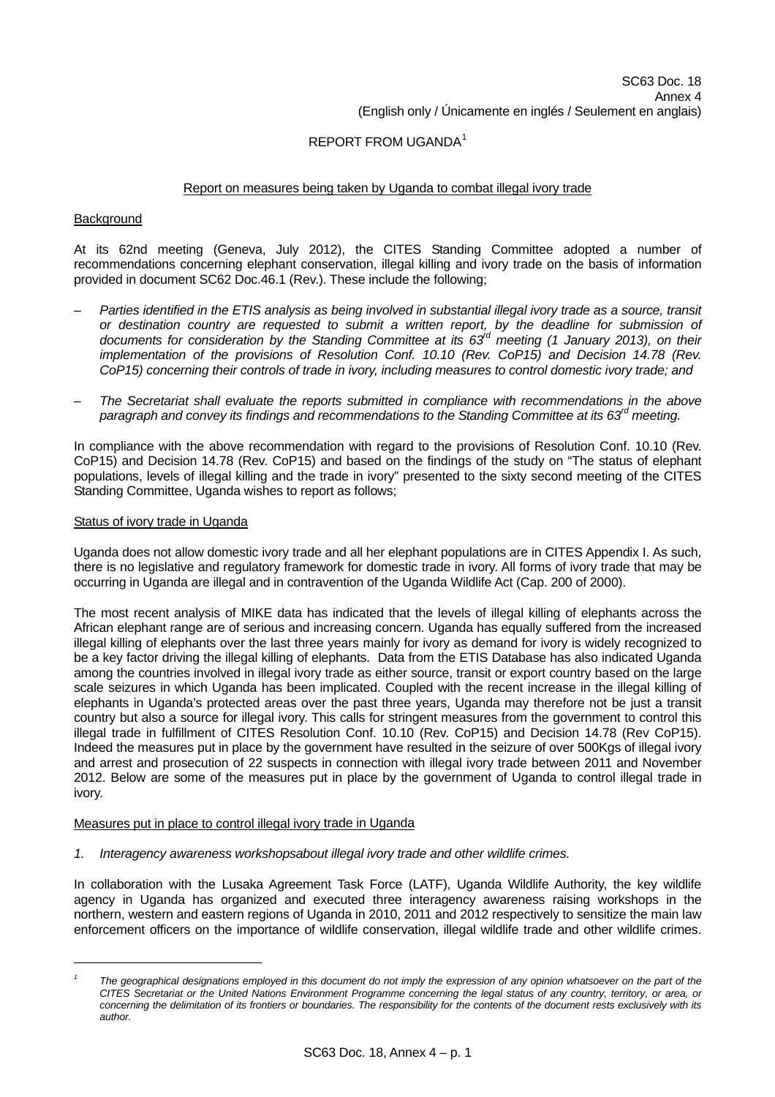# REPORT FROM UGANDA[1](#page-0-0)

## Report on measures being taken by Uganda to combat illegal ivory trade

#### **Background**

At its 62nd meeting (Geneva, July 2012), the CITES Standing Committee adopted a number of recommendations concerning elephant conservation, illegal killing and ivory trade on the basis of information provided in document SC62 Doc.46.1 (Rev.). These include the following;

- *Parties identified in the ETIS analysis as being involved in substantial illegal ivory trade as a source, transit or destination country are requested to submit a written report, by the deadline for submission of documents for consideration by the Standing Committee at its 63rd meeting (1 January 2013), on their implementation of the provisions of Resolution Conf. 10.10 (Rev. CoP15) and Decision 14.78 (Rev. CoP15) concerning their controls of trade in ivory, including measures to control domestic ivory trade; and*
- *The Secretariat shall evaluate the reports submitted in compliance with recommendations in the above paragraph and convey its findings and recommendations to the Standing Committee at its 63rd meeting.*

In compliance with the above recommendation with regard to the provisions of Resolution Conf. 10.10 (Rev. CoP15) and Decision 14.78 (Rev. CoP15) and based on the findings of the study on "The status of elephant populations, levels of illegal killing and the trade in ivory" presented to the sixty second meeting of the CITES Standing Committee, Uganda wishes to report as follows;

#### Status of ivory trade in Uganda

l

Uganda does not allow domestic ivory trade and all her elephant populations are in CITES Appendix I. As such, there is no legislative and regulatory framework for domestic trade in ivory. All forms of ivory trade that may be occurring in Uganda are illegal and in contravention of the Uganda Wildlife Act (Cap. 200 of 2000).

The most recent analysis of MIKE data has indicated that the levels of illegal killing of elephants across the African elephant range are of serious and increasing concern. Uganda has equally suffered from the increased illegal killing of elephants over the last three years mainly for ivory as demand for ivory is widely recognized to be a key factor driving the illegal killing of elephants. Data from the ETIS Database has also indicated Uganda among the countries involved in illegal ivory trade as either source, transit or export country based on the large scale seizures in which Uganda has been implicated. Coupled with the recent increase in the illegal killing of elephants in Uganda's protected areas over the past three years, Uganda may therefore not be just a transit country but also a source for illegal ivory. This calls for stringent measures from the government to control this illegal trade in fulfillment of CITES Resolution Conf. 10.10 (Rev. CoP15) and Decision 14.78 (Rev CoP15). Indeed the measures put in place by the government have resulted in the seizure of over 500Kgs of illegal ivory and arrest and prosecution of 22 suspects in connection with illegal ivory trade between 2011 and November 2012. Below are some of the measures put in place by the government of Uganda to control illegal trade in ivory.

#### Measures put in place to control illegal ivory trade in Uganda

*1. Interagency awareness workshopsabout illegal ivory trade and other wildlife crimes.* 

In collaboration with the Lusaka Agreement Task Force (LATF), Uganda Wildlife Authority, the key wildlife agency in Uganda has organized and executed three interagency awareness raising workshops in the northern, western and eastern regions of Uganda in 2010, 2011 and 2012 respectively to sensitize the main law enforcement officers on the importance of wildlife conservation, illegal wildlife trade and other wildlife crimes.

<span id="page-0-0"></span>*<sup>1</sup>* The geographical designations employed in this document do not imply the expression of any opinion whatsoever on the part of the *CITES Secretariat or the United Nations Environment Programme concerning the legal status of any country, territory, or area, or concerning the delimitation of its frontiers or boundaries. The responsibility for the contents of the document rests exclusively with its author.*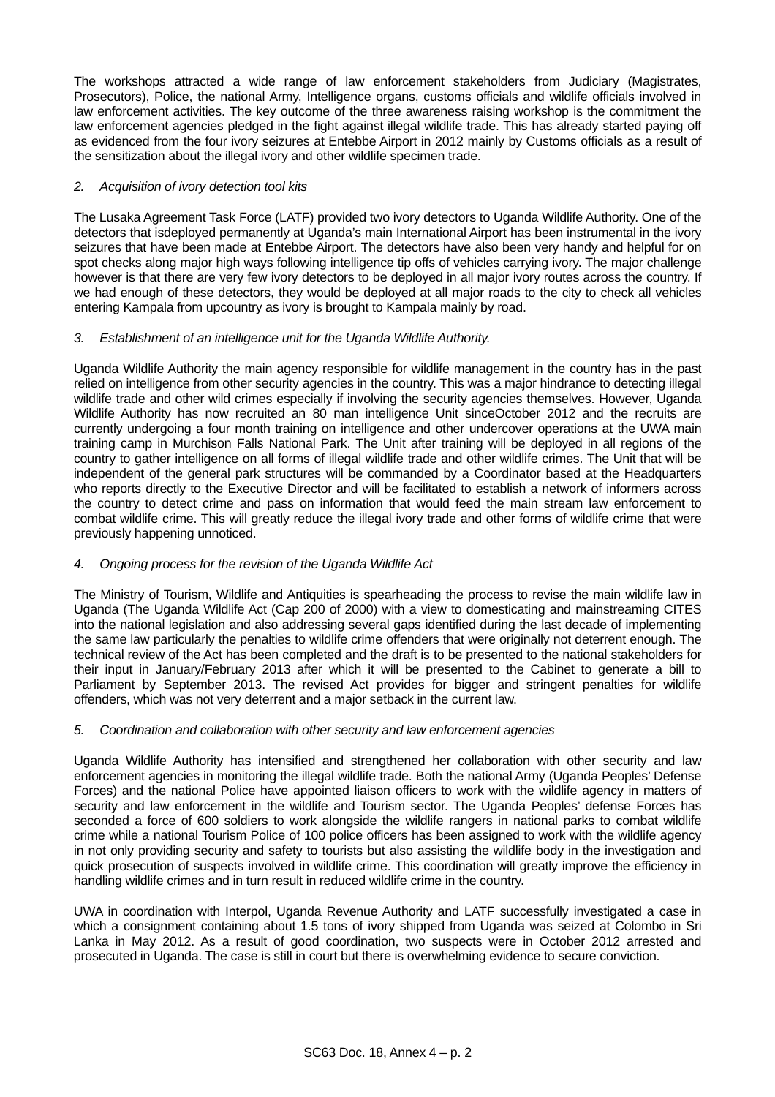The workshops attracted a wide range of law enforcement stakeholders from Judiciary (Magistrates, Prosecutors), Police, the national Army, Intelligence organs, customs officials and wildlife officials involved in law enforcement activities. The key outcome of the three awareness raising workshop is the commitment the law enforcement agencies pledged in the fight against illegal wildlife trade. This has already started paying off as evidenced from the four ivory seizures at Entebbe Airport in 2012 mainly by Customs officials as a result of the sensitization about the illegal ivory and other wildlife specimen trade.

## *2. Acquisition of ivory detection tool kits*

The Lusaka Agreement Task Force (LATF) provided two ivory detectors to Uganda Wildlife Authority. One of the detectors that isdeployed permanently at Uganda's main International Airport has been instrumental in the ivory seizures that have been made at Entebbe Airport. The detectors have also been very handy and helpful for on spot checks along major high ways following intelligence tip offs of vehicles carrying ivory. The major challenge however is that there are very few ivory detectors to be deployed in all major ivory routes across the country. If we had enough of these detectors, they would be deployed at all major roads to the city to check all vehicles entering Kampala from upcountry as ivory is brought to Kampala mainly by road.

## *3. Establishment of an intelligence unit for the Uganda Wildlife Authority.*

Uganda Wildlife Authority the main agency responsible for wildlife management in the country has in the past relied on intelligence from other security agencies in the country. This was a major hindrance to detecting illegal wildlife trade and other wild crimes especially if involving the security agencies themselves. However, Uganda Wildlife Authority has now recruited an 80 man intelligence Unit sinceOctober 2012 and the recruits are currently undergoing a four month training on intelligence and other undercover operations at the UWA main training camp in Murchison Falls National Park. The Unit after training will be deployed in all regions of the country to gather intelligence on all forms of illegal wildlife trade and other wildlife crimes. The Unit that will be independent of the general park structures will be commanded by a Coordinator based at the Headquarters who reports directly to the Executive Director and will be facilitated to establish a network of informers across the country to detect crime and pass on information that would feed the main stream law enforcement to combat wildlife crime. This will greatly reduce the illegal ivory trade and other forms of wildlife crime that were previously happening unnoticed.

# *4. Ongoing process for the revision of the Uganda Wildlife Act*

The Ministry of Tourism, Wildlife and Antiquities is spearheading the process to revise the main wildlife law in Uganda (The Uganda Wildlife Act (Cap 200 of 2000) with a view to domesticating and mainstreaming CITES into the national legislation and also addressing several gaps identified during the last decade of implementing the same law particularly the penalties to wildlife crime offenders that were originally not deterrent enough. The technical review of the Act has been completed and the draft is to be presented to the national stakeholders for their input in January/February 2013 after which it will be presented to the Cabinet to generate a bill to Parliament by September 2013. The revised Act provides for bigger and stringent penalties for wildlife offenders, which was not very deterrent and a major setback in the current law.

## *5. Coordination and collaboration with other security and law enforcement agencies*

Uganda Wildlife Authority has intensified and strengthened her collaboration with other security and law enforcement agencies in monitoring the illegal wildlife trade. Both the national Army (Uganda Peoples' Defense Forces) and the national Police have appointed liaison officers to work with the wildlife agency in matters of security and law enforcement in the wildlife and Tourism sector. The Uganda Peoples' defense Forces has seconded a force of 600 soldiers to work alongside the wildlife rangers in national parks to combat wildlife crime while a national Tourism Police of 100 police officers has been assigned to work with the wildlife agency in not only providing security and safety to tourists but also assisting the wildlife body in the investigation and quick prosecution of suspects involved in wildlife crime. This coordination will greatly improve the efficiency in handling wildlife crimes and in turn result in reduced wildlife crime in the country.

UWA in coordination with Interpol, Uganda Revenue Authority and LATF successfully investigated a case in which a consignment containing about 1.5 tons of ivory shipped from Uganda was seized at Colombo in Sri Lanka in May 2012. As a result of good coordination, two suspects were in October 2012 arrested and prosecuted in Uganda. The case is still in court but there is overwhelming evidence to secure conviction.